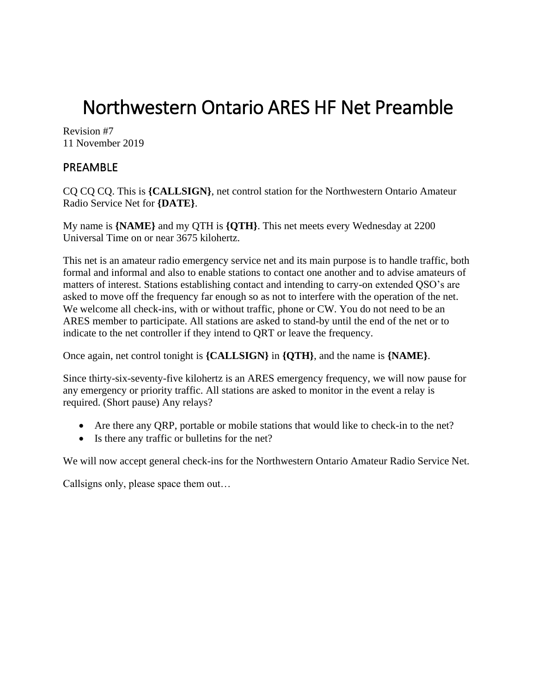# Northwestern Ontario ARES HF Net Preamble

Revision #7 11 November 2019

## PREAMBLE

CQ CQ CQ. This is **{CALLSIGN}**, net control station for the Northwestern Ontario Amateur Radio Service Net for **{DATE}**.

My name is **{NAME}** and my QTH is **{QTH}**. This net meets every Wednesday at 2200 Universal Time on or near 3675 kilohertz.

This net is an amateur radio emergency service net and its main purpose is to handle traffic, both formal and informal and also to enable stations to contact one another and to advise amateurs of matters of interest. Stations establishing contact and intending to carry-on extended QSO's are asked to move off the frequency far enough so as not to interfere with the operation of the net. We welcome all check-ins, with or without traffic, phone or CW. You do not need to be an ARES member to participate. All stations are asked to stand-by until the end of the net or to indicate to the net controller if they intend to QRT or leave the frequency.

Once again, net control tonight is **{CALLSIGN}** in **{QTH}**, and the name is **{NAME}**.

Since thirty-six-seventy-five kilohertz is an ARES emergency frequency, we will now pause for any emergency or priority traffic. All stations are asked to monitor in the event a relay is required. (Short pause) Any relays?

- Are there any QRP, portable or mobile stations that would like to check-in to the net?
- Is there any traffic or bulletins for the net?

We will now accept general check-ins for the Northwestern Ontario Amateur Radio Service Net.

Callsigns only, please space them out…